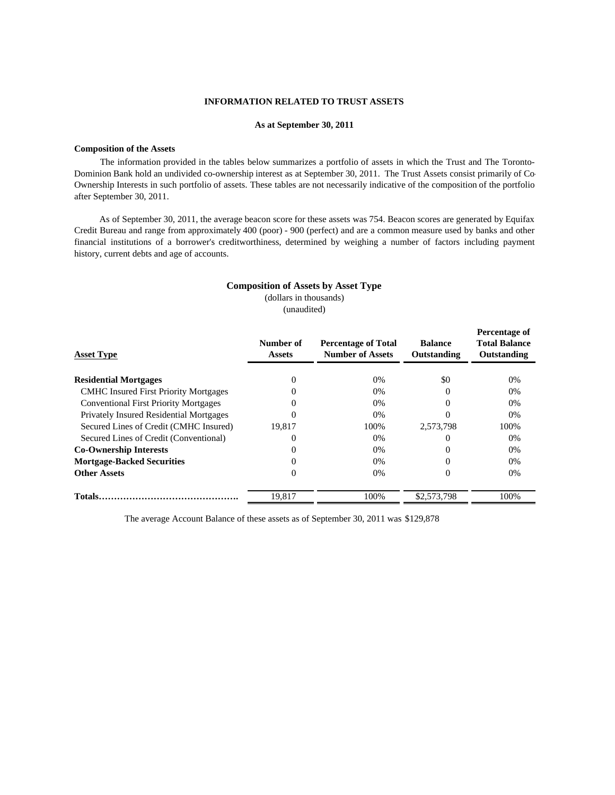# **INFORMATION RELATED TO TRUST ASSETS**

## **As at September 30, 2011**

## **Composition of the Assets**

The information provided in the tables below summarizes a portfolio of assets in which the Trust and The Toronto-Dominion Bank hold an undivided co-ownership interest as at September 30, 2011. The Trust Assets consist primarily of Co-Ownership Interests in such portfolio of assets. These tables are not necessarily indicative of the composition of the portfolio after September 30, 2011.

As of September 30, 2011, the average beacon score for these assets was 754. Beacon scores are generated by Equifax Credit Bureau and range from approximately 400 (poor) - 900 (perfect) and are a common measure used by banks and other financial institutions of a borrower's creditworthiness, determined by weighing a number of factors including payment history, current debts and age of accounts.

## **Composition of Assets by Asset Type**

(dollars in thousands) (unaudited)

| <b>Asset Type</b>                              | Number of<br><b>Percentage of Total</b><br><b>Number of Assets</b><br><b>Assets</b> |       | <b>Balance</b><br>Outstanding | Percentage of<br><b>Total Balance</b><br>Outstanding |  |
|------------------------------------------------|-------------------------------------------------------------------------------------|-------|-------------------------------|------------------------------------------------------|--|
| <b>Residential Mortgages</b>                   |                                                                                     | $0\%$ | \$0                           | 0%                                                   |  |
| <b>CMHC</b> Insured First Priority Mortgages   |                                                                                     | 0%    | $\left($                      | 0%                                                   |  |
| <b>Conventional First Priority Mortgages</b>   |                                                                                     | 0%    | 0                             | 0%                                                   |  |
| <b>Privately Insured Residential Mortgages</b> |                                                                                     | $0\%$ |                               | 0%                                                   |  |
| Secured Lines of Credit (CMHC Insured)         | 19.817                                                                              | 100%  | 2.573.798                     | 100%                                                 |  |
| Secured Lines of Credit (Conventional)         |                                                                                     | 0%    | 0                             | 0%                                                   |  |
| <b>Co-Ownership Interests</b>                  |                                                                                     | 0%    |                               | 0%                                                   |  |
| <b>Mortgage-Backed Securities</b>              |                                                                                     | 0%    | $\Omega$                      | 0%                                                   |  |
| <b>Other Assets</b>                            |                                                                                     | 0%    | 0                             | 0%                                                   |  |
|                                                | 19.817                                                                              | 100%  | \$2,573,798                   | 100%                                                 |  |

The average Account Balance of these assets as of September 30, 2011 was \$129,878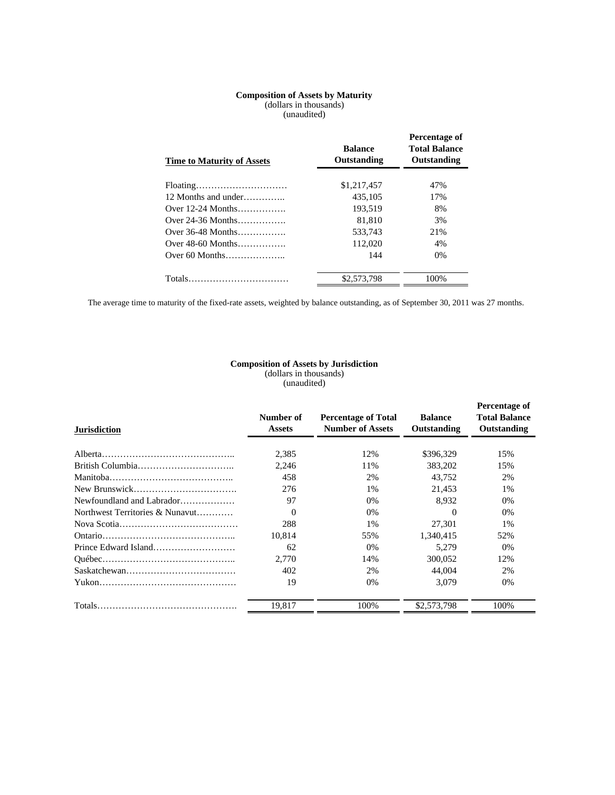#### (unaudited) **Composition of Assets by Maturity** (dollars in thousands)

| <b>Time to Maturity of Assets</b> | <b>Balance</b><br>Outstanding | Percentage of<br><b>Total Balance</b><br>Outstanding |
|-----------------------------------|-------------------------------|------------------------------------------------------|
| Floating                          | \$1,217,457                   | 47%                                                  |
| 12 Months and under $\ldots$      | 435,105                       | 17%                                                  |
| Over $12-24$ Months               | 193.519                       | 8%                                                   |
| Over 24-36 Months                 | 81.810                        | 3%                                                   |
| Over $36-48$ Months               | 533,743                       | 21%                                                  |
| Over $48-60$ Months               | 112,020                       | 4%                                                   |
|                                   | 144                           | $0\%$                                                |
|                                   | \$2,573,798                   | 100%                                                 |

The average time to maturity of the fixed-rate assets, weighted by balance outstanding, as of September 30, 2011 was 27 months.

#### (unaudited) (dollars in thousands) **Composition of Assets by Jurisdiction**

| <b>Jurisdiction</b>             | Number of<br><b>Assets</b> | <b>Percentage of Total</b><br><b>Number of Assets</b> | <b>Balance</b><br>Outstanding | Percentage of<br><b>Total Balance</b><br><b>Outstanding</b> |  |
|---------------------------------|----------------------------|-------------------------------------------------------|-------------------------------|-------------------------------------------------------------|--|
|                                 |                            |                                                       |                               |                                                             |  |
|                                 | 2,385                      | 12%                                                   | \$396,329                     | 15%                                                         |  |
|                                 | 2.246                      | 11%                                                   | 383.202                       | 15%                                                         |  |
|                                 | 458                        | 2%                                                    | 43.752                        | 2%                                                          |  |
|                                 | 276                        | 1%                                                    | 21.453                        | 1%                                                          |  |
| Newfoundland and Labrador       | 97                         | $0\%$                                                 | 8.932                         | $0\%$                                                       |  |
| Northwest Territories & Nunavut | $\Omega$                   | $0\%$                                                 | $\Omega$                      | $0\%$                                                       |  |
|                                 | 288                        | 1%                                                    | 27.301                        | 1%                                                          |  |
|                                 | 10.814                     | 55%                                                   | 1.340.415                     | 52%                                                         |  |
|                                 | 62                         | $0\%$                                                 | 5,279                         | $0\%$                                                       |  |
|                                 | 2.770                      | 14%                                                   | 300.052                       | 12%                                                         |  |
|                                 | 402                        | 2%                                                    | 44,004                        | 2%                                                          |  |
|                                 | 19                         | $0\%$                                                 | 3.079                         | 0%                                                          |  |
|                                 | 19,817                     | 100%                                                  | \$2,573,798                   | 100%                                                        |  |